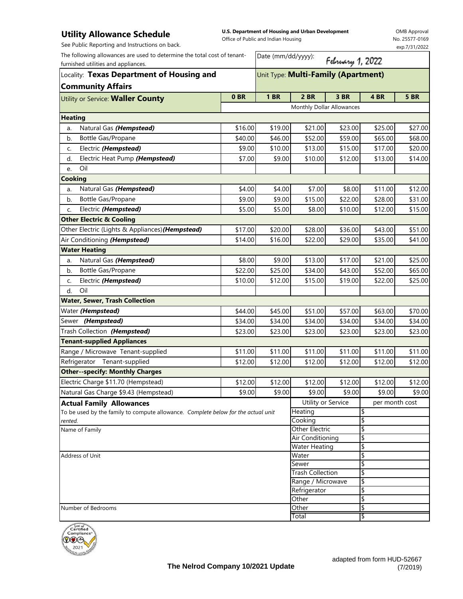## **Utility Allowance Schedule**

**U.S. Department of Housing and Urban Development**  Office of Public and Indian Housing

OMB Approval No. 25577-0169 exp.7/31/2022

See Public Reporting and Instructions on back.

| The following allowances are used to determine the total cost of tenant-<br>furnished utilities and appliances. |                                     | Date (mm/dd/yyyy):<br>February 1, 2022 |                                                  |         |                |             |  |  |  |
|-----------------------------------------------------------------------------------------------------------------|-------------------------------------|----------------------------------------|--------------------------------------------------|---------|----------------|-------------|--|--|--|
| Locality: Texas Department of Housing and                                                                       | Unit Type: Multi-Family (Apartment) |                                        |                                                  |         |                |             |  |  |  |
| <b>Community Affairs</b>                                                                                        |                                     |                                        |                                                  |         |                |             |  |  |  |
| Utility or Service: Waller County                                                                               | 0BR                                 | <b>1 BR</b>                            | <b>2 BR</b>                                      | 3 BR    | 4BR            | <b>5 BR</b> |  |  |  |
|                                                                                                                 |                                     | Monthly Dollar Allowances              |                                                  |         |                |             |  |  |  |
| <b>Heating</b>                                                                                                  |                                     |                                        |                                                  |         |                |             |  |  |  |
| Natural Gas (Hempstead)<br>a.                                                                                   | \$16.00                             | \$19.00                                | \$21.00                                          | \$23.00 | \$25.00        | \$27.00     |  |  |  |
| Bottle Gas/Propane<br>b.                                                                                        | \$40.00                             | \$46.00                                | \$52.00                                          | \$59.00 | \$65.00        | \$68.00     |  |  |  |
| Electric (Hempstead)<br>c.                                                                                      | \$9.00                              | \$10.00                                | \$13.00                                          | \$15.00 | \$17.00        | \$20.00     |  |  |  |
| Electric Heat Pump (Hempstead)<br>d.                                                                            | \$7.00                              | \$9.00                                 | \$10.00                                          | \$12.00 | \$13.00        | \$14.00     |  |  |  |
| Oil<br>e.                                                                                                       |                                     |                                        |                                                  |         |                |             |  |  |  |
| <b>Cooking</b>                                                                                                  |                                     |                                        |                                                  |         |                |             |  |  |  |
| Natural Gas (Hempstead)<br>a.                                                                                   | \$4.00                              | \$4.00                                 | \$7.00                                           | \$8.00  | \$11.00        | \$12.00     |  |  |  |
| Bottle Gas/Propane<br>b.                                                                                        | \$9.00                              | \$9.00                                 | \$15.00                                          | \$22.00 | \$28.00        | \$31.00     |  |  |  |
| Electric (Hempstead)<br>C.                                                                                      | \$5.00                              | \$5.00                                 | \$8.00                                           | \$10.00 | \$12.00        | \$15.00     |  |  |  |
| <b>Other Electric &amp; Cooling</b>                                                                             |                                     |                                        |                                                  |         |                |             |  |  |  |
| Other Electric (Lights & Appliances) (Hempstead)                                                                | \$17.00                             | \$20.00                                | \$28.00                                          | \$36.00 | \$43.00        | \$51.00     |  |  |  |
| Air Conditioning (Hempstead)                                                                                    | \$14.00                             | \$16.00                                | \$22.00                                          | \$29.00 | \$35.00        | \$41.00     |  |  |  |
| <b>Water Heating</b>                                                                                            |                                     |                                        |                                                  |         |                |             |  |  |  |
| Natural Gas (Hempstead)<br>a.                                                                                   | \$8.00                              | \$9.00                                 | \$13.00                                          | \$17.00 | \$21.00        | \$25.00     |  |  |  |
| Bottle Gas/Propane<br>b.                                                                                        | \$22.00                             | \$25.00                                | \$34.00                                          | \$43.00 | \$52.00        | \$65.00     |  |  |  |
| Electric (Hempstead)<br>c.                                                                                      | \$10.00                             | \$12.00                                | \$15.00                                          | \$19.00 | \$22.00        | \$25.00     |  |  |  |
| Oil<br>d.                                                                                                       |                                     |                                        |                                                  |         |                |             |  |  |  |
| <b>Water, Sewer, Trash Collection</b>                                                                           |                                     |                                        |                                                  |         |                |             |  |  |  |
| Water (Hempstead)                                                                                               | \$44.00                             | \$45.00                                | \$51.00                                          | \$57.00 | \$63.00        | \$70.00     |  |  |  |
| Sewer (Hempstead)                                                                                               | \$34.00                             | \$34.00                                | \$34.00                                          | \$34.00 | \$34.00        | \$34.00     |  |  |  |
| Trash Collection (Hempstead)                                                                                    | \$23.00                             | \$23.00                                | \$23.00                                          | \$23.00 | \$23.00        | \$23.00     |  |  |  |
| <b>Tenant-supplied Appliances</b>                                                                               |                                     |                                        |                                                  |         |                |             |  |  |  |
| Range / Microwave Tenant-supplied                                                                               | \$11.00                             | \$11.00                                | \$11.00                                          | \$11.00 | \$11.00        | \$11.00     |  |  |  |
| Refrigerator Tenant-supplied                                                                                    | \$12.00                             | \$12.00                                | \$12.00                                          | \$12.00 | \$12.00        | \$12.00     |  |  |  |
| <b>Other--specify: Monthly Charges</b>                                                                          |                                     |                                        |                                                  |         |                |             |  |  |  |
| Electric Charge \$11.70 (Hempstead)                                                                             | \$12.00                             | \$12.00                                | \$12.00                                          | \$12.00 | \$12.00        | \$12.00     |  |  |  |
| Natural Gas Charge \$9.43 (Hempstead)                                                                           | \$9.00                              | \$9.00                                 | \$9.00                                           | \$9.00  | \$9.00         | \$9.00      |  |  |  |
| <b>Actual Family Allowances</b>                                                                                 |                                     |                                        | Utility or Service                               |         | per month cost |             |  |  |  |
| To be used by the family to compute allowance. Complete below for the actual unit                               |                                     |                                        | Heating                                          |         | \$             |             |  |  |  |
| rented.                                                                                                         |                                     |                                        | Cooking                                          |         | \$             |             |  |  |  |
| Name of Family                                                                                                  |                                     |                                        | <b>Other Electric</b><br><b>Air Conditioning</b> |         | \$<br>\$       |             |  |  |  |
|                                                                                                                 |                                     |                                        | <b>Water Heating</b>                             |         | \$             |             |  |  |  |
| Address of Unit                                                                                                 |                                     |                                        | Water                                            |         | \$             |             |  |  |  |
|                                                                                                                 |                                     |                                        | Sewer<br><b>Trash Collection</b>                 |         | \$             |             |  |  |  |
|                                                                                                                 |                                     |                                        |                                                  |         |                |             |  |  |  |
|                                                                                                                 |                                     |                                        | Range / Microwave                                |         |                | \$          |  |  |  |
|                                                                                                                 |                                     |                                        | Refrigerator                                     |         | \$             |             |  |  |  |
|                                                                                                                 |                                     |                                        | Other<br>Other                                   |         | \$<br>\$       |             |  |  |  |
| Number of Bedrooms                                                                                              |                                     |                                        | Total                                            |         | ₩              |             |  |  |  |